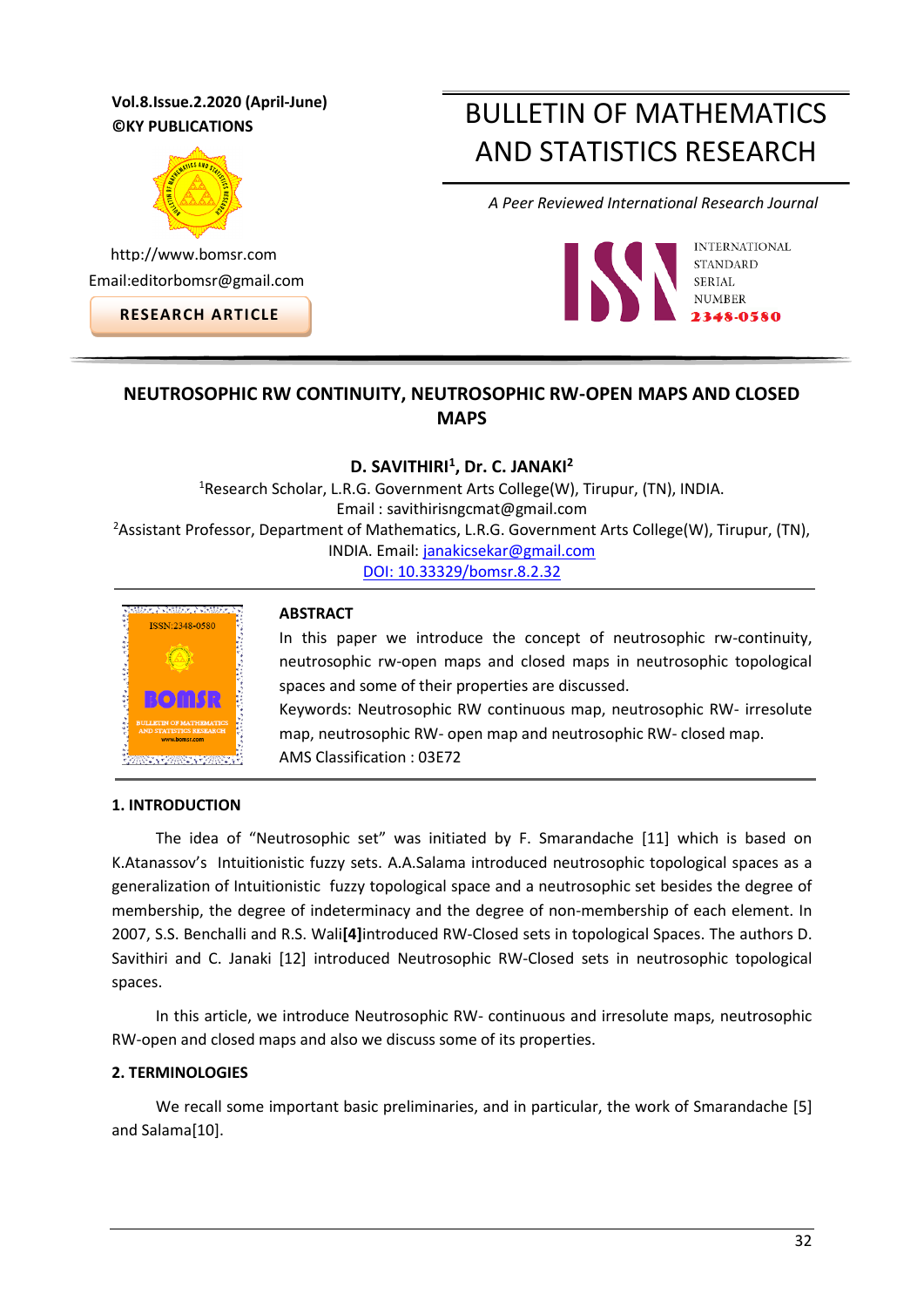# **Vol.8.Issue.2.2020 (April-June) ©KY PUBLICATIONS**



http://www.bomsr.com Email:editorbomsr@gmail.com

**RESEARCH ARTICLE**

# BULLETIN OF MATHEMATICS AND STATISTICS RESEARCH

*A Peer Reviewed International Research Journal*



# **NEUTROSOPHIC RW CONTINUITY, NEUTROSOPHIC RW-OPEN MAPS AND CLOSED MAPS**

# **D. SAVITHIRI<sup>1</sup> , Dr. C. JANAKI<sup>2</sup>**

<sup>1</sup>Research Scholar, L.R.G. Government Arts College(W), Tirupur, (TN), INDIA. Email : savithirisngcmat@gmail.com <sup>2</sup>Assistant Professor, Department of Mathematics, L.R.G. Government Arts College(W), Tirupur, (TN), INDIA. Email[: janakicsekar@gmail.com](mailto:janakicsekar@gmail.com) [DOI: 10.33329/bomsr.8.2.32](http://www.bomsr.com/)



## **ABSTRACT**

In this paper we introduce the concept of neutrosophic rw-continuity, neutrosophic rw-open maps and closed maps in neutrosophic topological spaces and some of their properties are discussed. Keywords: Neutrosophic RW continuous map, neutrosophic RW- irresolute

map, neutrosophic RW- open map and neutrosophic RW- closed map.

AMS Classification : 03E72

## **1. INTRODUCTION**

The idea of "Neutrosophic set" was initiated by F. Smarandache [11] which is based on K.Atanassov's Intuitionistic fuzzy sets. A.A.Salama introduced neutrosophic topological spaces as a generalization of Intuitionistic fuzzy topological space and a neutrosophic set besides the degree of membership, the degree of indeterminacy and the degree of non-membership of each element. In 2007, S.S. Benchalli and R.S. Wali**[4]**introduced RW-Closed sets in topological Spaces. The authors D. Savithiri and C. Janaki [12] introduced Neutrosophic RW-Closed sets in neutrosophic topological spaces.

In this article, we introduce Neutrosophic RW- continuous and irresolute maps, neutrosophic RW-open and closed maps and also we discuss some of its properties.

## **2. TERMINOLOGIES**

We recall some important basic preliminaries, and in particular, the work of Smarandache [5] and Salama[10].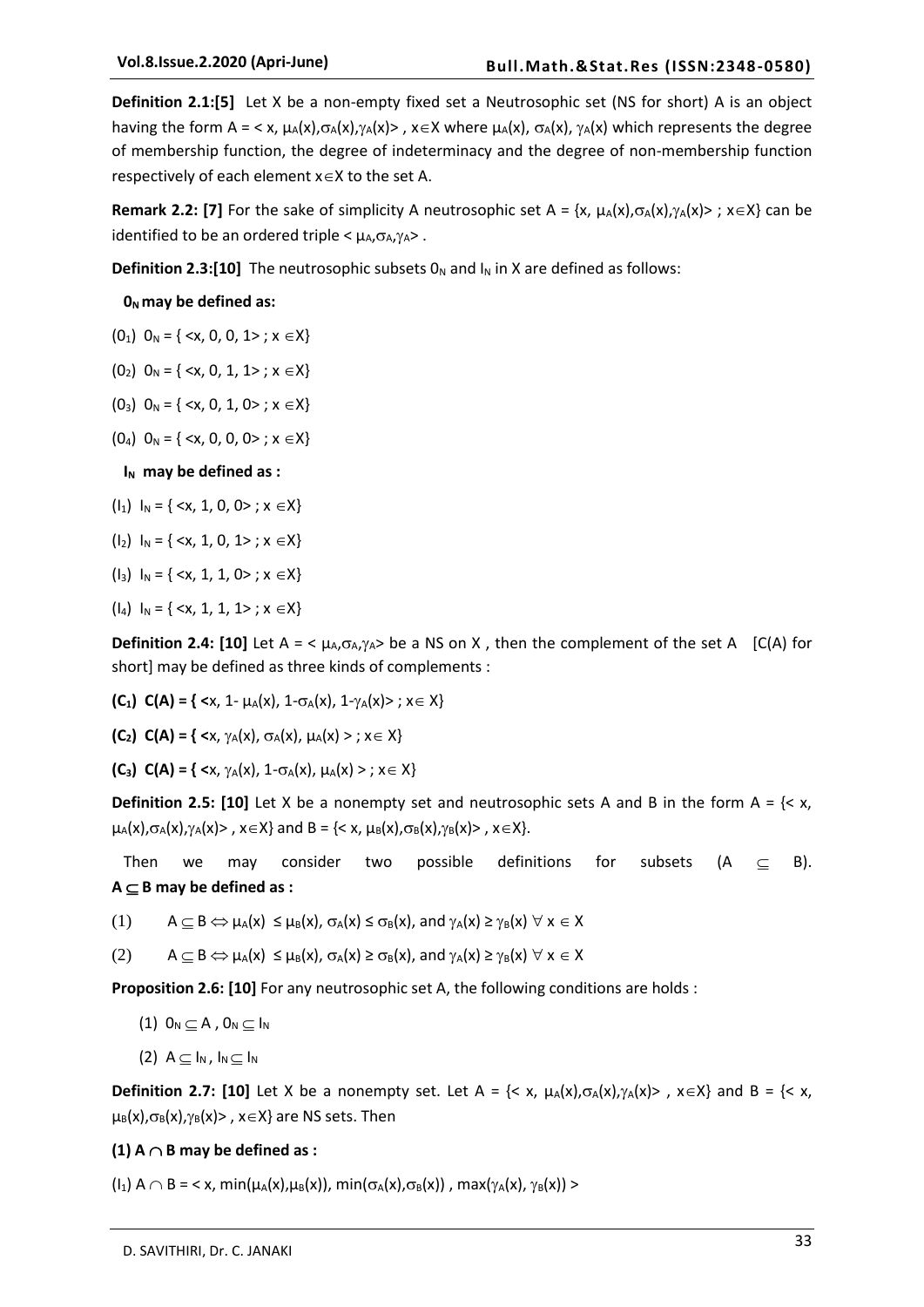**Definition 2.1:[5]** Let X be a non-empty fixed set a Neutrosophic set (NS for short) A is an object having the form A = < x,  $\mu_A(x), \sigma_A(x), \gamma_A(x)$ >, x  $\in$  X where  $\mu_A(x), \sigma_A(x), \gamma_A(x)$  which represents the degree of membership function, the degree of indeterminacy and the degree of non-membership function respectively of each element  $x \in X$  to the set A.

**Remark 2.2: [7]** For the sake of simplicity A neutrosophic set A = {x,  $\mu_A(x), \sigma_A(x), \gamma_A(x)$  > ;  $x \in X$ } can be identified to be an ordered triple  $<\mu_A, \sigma_A, \gamma_A>$ .

**Definition 2.3:[10]** The neutrosophic subsets  $0_N$  and  $I_N$  in X are defined as follows:

#### **0<sup>N</sup> may be defined as:**

- $(0_1)$   $0_N = \{ \langle x, 0, 0, 1 \rangle : x \in X \}$
- $(0_2)$   $0_N = \{ \langle x, 0, 1, 1 \rangle : x \in X \}$
- $(0_3)$   $0_N = \{ \langle x, 0, 1, 0 \rangle : x \in X \}$
- $(0_4)$   $0_N = \{ \langle x, 0, 0, 0 \rangle : x \in X \}$

**I<sub>N</sub>** may be defined as :

- $(I_1)$   $I_N = \{ \langle x, 1, 0, 0 \rangle : x \in X \}$
- $(I_2) I_N = \{ \langle x, 1, 0, 1 \rangle ; x \in X \}$
- $\{I_3\}$   $I_N = \{ \langle x, 1, 1, 0 \rangle : x \in X \}$
- $(I_4) I_N = \{ \langle x, 1, 1, 1 \rangle ; x \in X \}$

**Definition 2.4: [10]** Let A =  $\lt \mu_A, \sigma_A, \gamma_A >$  be a NS on X, then the complement of the set A [C(A) for short] may be defined as three kinds of complements :

- **(C<sub>1</sub>) C(A) = { <** $x$ **, 1-**  $\mu$ **<sub>A</sub>(x), 1-** $\sigma$ **<sub>A</sub>(x), 1-** $\gamma$ **<sub>A</sub>(x)>;**  $x \in X$ **}**
- **(C<sub>2</sub>) C(A) = { <** $x, \gamma_A(x), \sigma_A(x), \mu_A(x) >; x \in X$ **}**
- **(C<sub>3</sub>) C(A) = { <x,**  $\gamma_A(x)$ , 1- $\sigma_A(x)$ ,  $\mu_A(x)$  > ;  $x \in X$ }

**Definition 2.5: [10]** Let X be a nonempty set and neutrosophic sets A and B in the form  $A = \{ \langle x, y \rangle \}$  $\mu_A(x), \sigma_A(x), \gamma_A(x)$ ,  $x \in X$  and B = {< x,  $\mu_B(x), \sigma_B(x), \gamma_B(x)$ },  $x \in X$ }.

Then we may consider two possible definitions for subsets  $(A \subset B)$ .  $A \subseteq B$  may be defined as :

(1)  $A \subseteq B \Leftrightarrow \mu_A(x) \leq \mu_B(x)$ ,  $\sigma_A(x) \leq \sigma_B(x)$ , and  $\gamma_A(x) \geq \gamma_B(x)$   $\forall x \in X$ 

(2)  $A \subseteq B \Leftrightarrow \mu_A(x) \leq \mu_B(x), \sigma_A(x) \geq \sigma_B(x), \text{ and } \gamma_A(x) \geq \gamma_B(x) \forall x \in X$ 

**Proposition 2.6: [10]** For any neutrosophic set A, the following conditions are holds :

- (1)  $0_N \subseteq A$ ,  $0_N \subseteq I_N$
- $(2)$  A  $\subseteq$  I<sub>N</sub>, I<sub>N</sub> $\subseteq$  I<sub>N</sub>

**Definition 2.7: [10]** Let X be a nonempty set. Let  $A = \{ \langle x, \mu_A(x), \sigma_A(x), \gamma_A(x) \rangle \}$ ,  $x \in X \}$  and  $B = \{ \langle x, \mu_A(x), \sigma_A(x), \gamma_A(x) \rangle \}$  $\mu_B(x), \sigma_B(x), \gamma_B(x)$ ,  $x \in X$ } are NS sets. Then

#### **(1)**  $A \cap B$  may be defined as :

 $(I_1)$  A  $\cap$  B = < x, min( $\mu_A(x), \mu_B(x)$ ), min( $\sigma_A(x), \sigma_B(x)$ ), max( $\gamma_A(x), \gamma_B(x)$ ) >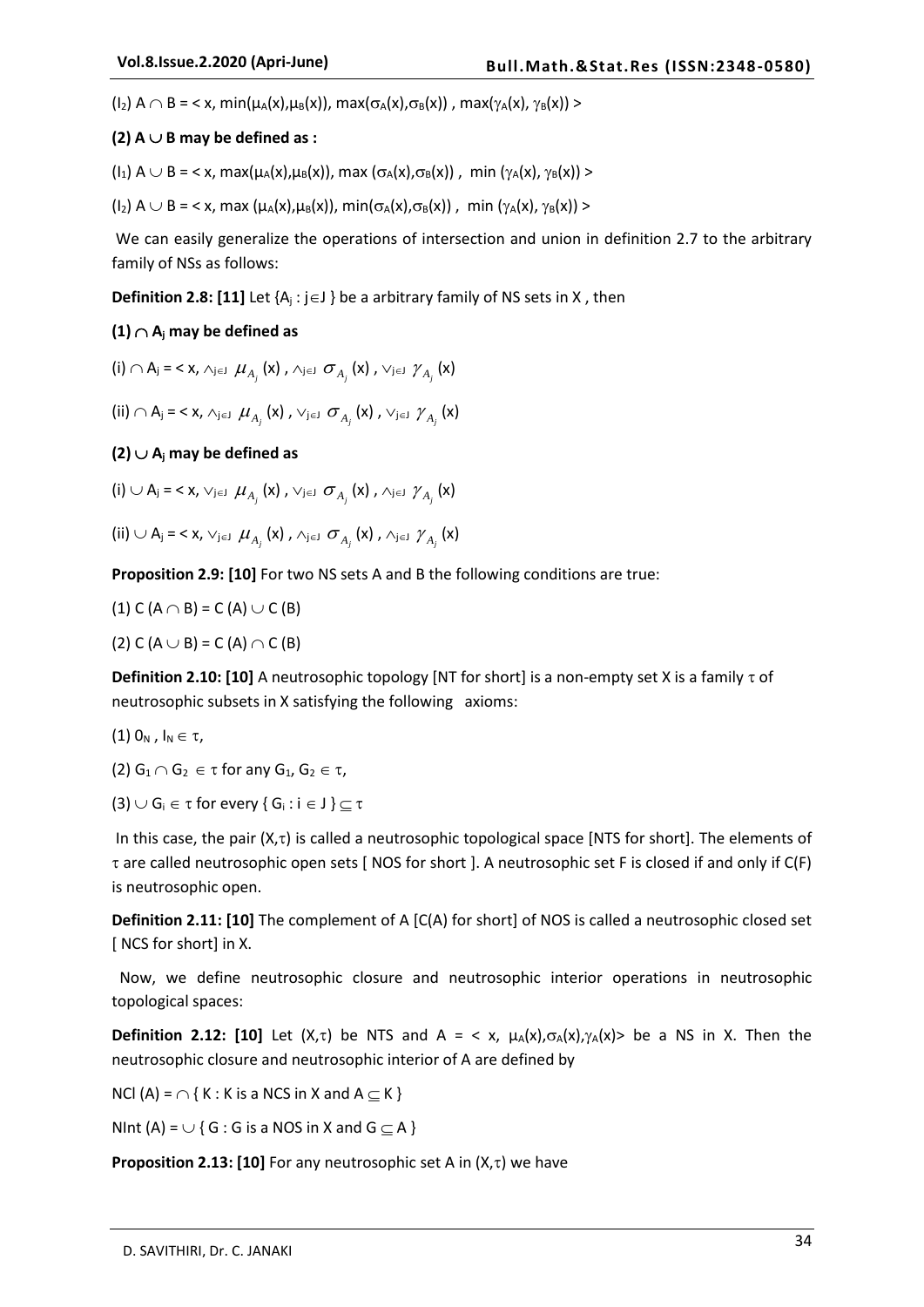$\left(\begin{array}{l} |I_2\rangle \end{array} A \cap B = \langle x, min(\mu_A(x),\mu_B(x)), max(\sigma_A(x),\sigma_B(x)) \rangle$ , max $\left(\gamma_A(x), \gamma_B(x)\right)$ 

#### $(2)$  A  $\cup$  B may be defined as :

 $(I_1)$  A  $\cup$  B = < x, max $(\mu_A(x), \mu_B(x))$ , max  $(\sigma_A(x), \sigma_B(x))$ , min  $(\gamma_A(x), \gamma_B(x))$  >

 $(I_2)$  A  $\cup$  B = < x, max  $(\mu_A(x), \mu_B(x))$ , min $(\sigma_A(x), \sigma_B(x))$ , min  $(\gamma_A(x), \gamma_B(x))$  >

We can easily generalize the operations of intersection and union in definition 2.7 to the arbitrary family of NSs as follows:

**Definition 2.8: [11]** Let  $\{A_j : j \in J\}$  be a arbitrary family of NS sets in X, then

#### $(1)$   $\cap$  A<sub>i</sub> may be defined as

 $(i) \cap A_j = \langle x, \triangle_{j \in J} \mu_{A_j}(x), \triangle_{j \in J} \sigma_{A_j}(x), \vee_{j \in J} \gamma_{A_j}(x) \rangle$ 

(ii)  $\cap$  A<sub>j</sub> = < x,  $\land$ <sub>je</sub>j  $\mu_{A_j}$  (x),  $\lor$ <sub>je</sub>j  $\sigma_{A_j}$  (x),  $\lor$ <sub>je</sub>j  $\gamma_{A_j}$  (x)

#### $(2)$   $\cup$  A<sub>i</sub> may be defined as

 $(i) \cup A_j = \langle x, \vee_{j \in J} \mu_{A_j}(x), \vee_{j \in J} \sigma_{A_j}(x), \wedge_{j \in J} \gamma_{A_j}(x) \rangle$ 

(ii) 
$$
\cup
$$
 A<sub>j</sub> = < x,  $\vee_{j \in J}$   $\mu_{A_j}(x)$ ,  $\wedge_{j \in J}$   $\sigma_{A_j}(x)$ ,  $\wedge_{j \in J}$   $\gamma_{A_j}(x)$ 

**Proposition 2.9: [10]** For two NS sets A and B the following conditions are true:

(1) C (A 
$$
\cap
$$
 B) = C (A)  $\cup$  C (B)  
(2) C (A  $\cup$  B) = C (A)  $\cap$  C (B)

**Definition 2.10: [10]** A neutrosophic topology [NT for short] is a non-empty set X is a family  $\tau$  of neutrosophic subsets in X satisfying the following axioms:

 $(1)$   $0_N$  ,  $I_N \in \tau$ ,

$$
(2) G_1 \cap G_2 \in \tau \text{ for any } G_1, G_2 \in \tau,
$$

(3)  $\cup$  G<sub>i</sub>  $\in$   $\tau$  for every { G<sub>i</sub>: i  $\in$  J }  $\subseteq$   $\tau$ 

In this case, the pair  $(X,\tau)$  is called a neutrosophic topological space [NTS for short]. The elements of  $\tau$  are called neutrosophic open sets [ NOS for short ]. A neutrosophic set F is closed if and only if C(F) is neutrosophic open.

**Definition 2.11: [10]** The complement of A [C(A) for short] of NOS is called a neutrosophic closed set [ NCS for short] in X.

 Now, we define neutrosophic closure and neutrosophic interior operations in neutrosophic topological spaces:

**Definition 2.12: [10]** Let  $(X, \tau)$  be NTS and A = < x,  $\mu_A(X), \sigma_A(X), \gamma_A(X)$ > be a NS in X. Then the neutrosophic closure and neutrosophic interior of A are defined by

NCl (A) =  $\cap$  { K : K is a NCS in X and A  $\subseteq$  K }

NInt (A) =  $\cup$  { G : G is a NOS in X and G  $\subseteq$  A }

**Proposition 2.13: [10]** For any neutrosophic set A in  $(X,\tau)$  we have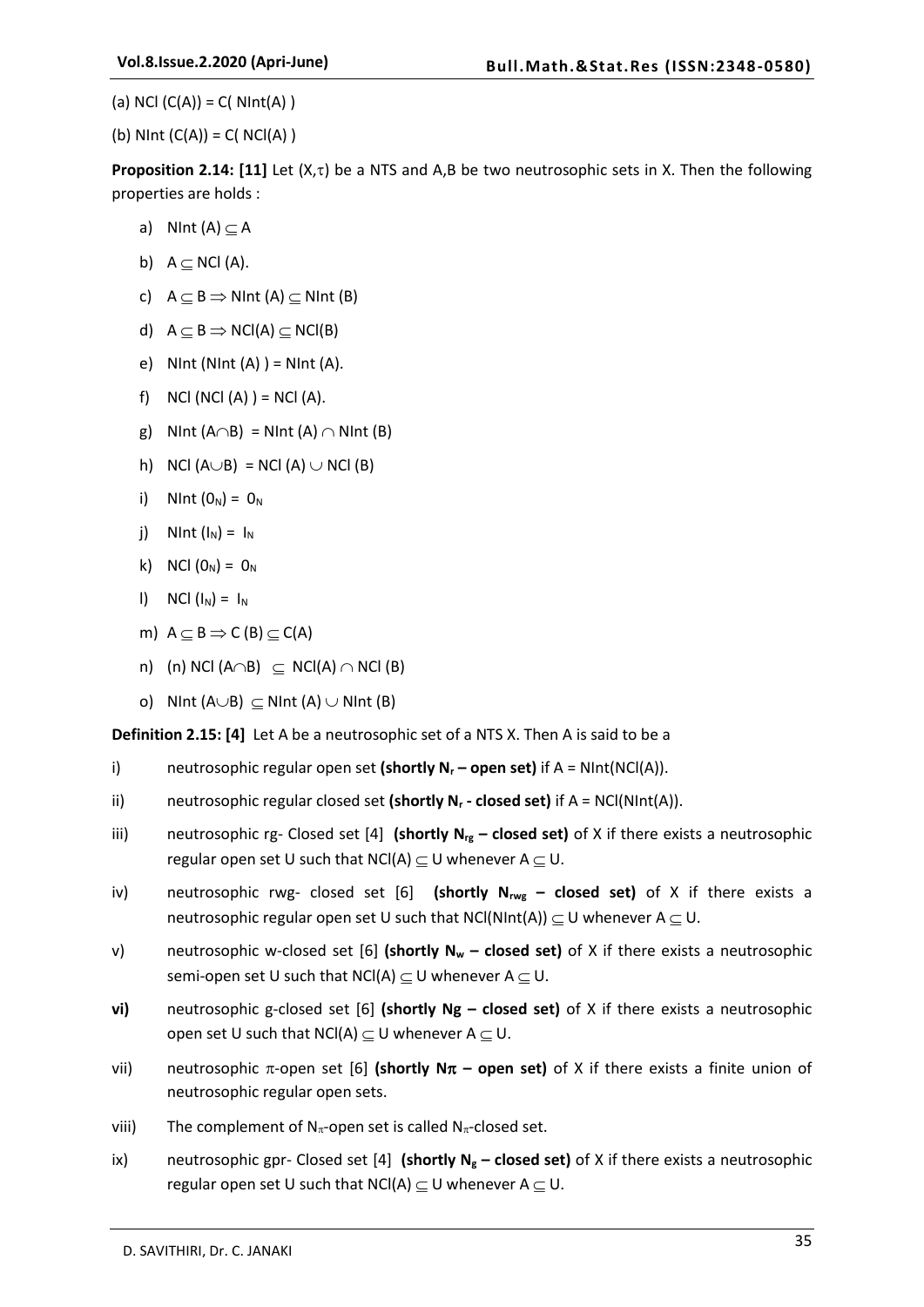(a) NCl  $(C(A)) = C(NInt(A))$ 

(b) NInt  $(C(A)) = C(NCl(A))$ 

**Proposition 2.14: [11]** Let  $(X,\tau)$  be a NTS and A,B be two neutrosophic sets in X. Then the following properties are holds :

- a) NInt  $(A) \subseteq A$
- b)  $A \subseteq NCI(A)$ .
- c)  $A \subseteq B \implies$  NInt (A)  $\subseteq$  NInt (B)
- d)  $A \subseteq B \implies NC(A) \subseteq NC(B)$
- e) NInt (NInt  $(A)$ ) = NInt  $(A)$ .
- f) NCl (NCl  $(A)$ ) = NCl  $(A)$ .
- g) NInt  $(A \cap B)$  = NInt  $(A) \cap N$ Int  $(B)$
- h) NCl  $(A \cup B)$  = NCl  $(A) \cup$  NCl  $(B)$
- i) NInt  $(0_N) = 0_N$
- j) NInt  $(I_N) = I_N$
- k) NCl  $(0_{N}) = 0_{N}$
- l) NCl  $(I_N) = I_N$
- m)  $A \subseteq B \Rightarrow C(B) \subseteq C(A)$
- n) (n) NCl (A $\cap$ B)  $\subseteq$  NCl(A)  $\cap$  NCl (B)
- o) NInt  $(A \cup B) \subset$  NInt  $(A) \cup$  NInt  $(B)$

**Definition 2.15: [4]** Let A be a neutrosophic set of a NTS X. Then A is said to be a

- i) neutrosophic regular open set **(shortly N<sup>r</sup> – open set)** if A = NInt(NCl(A)).
- ii) neutrosophic regular closed set **(shortly N<sup>r</sup> - closed set)** if A = NCl(NInt(A)).
- iii) neutrosophic rg- Closed set [4] **(shortly Nrg – closed set)** of X if there exists a neutrosophic regular open set U such that NCl(A)  $\subseteq$  U whenever A  $\subseteq$  U.
- iv) neutrosophic rwg- closed set [6] **(shortly Nrwg – closed set)** of X if there exists a neutrosophic regular open set U such that NCl(NInt(A))  $\subseteq$  U whenever A  $\subseteq$  U.
- v) neutrosophic w-closed set [6] **(shortly N<sup>w</sup> – closed set)** of X if there exists a neutrosophic semi-open set U such that NCl(A)  $\subseteq$  U whenever A  $\subseteq$  U.
- **vi)** neutrosophic g-closed set [6] **(shortly Ng – closed set)** of X if there exists a neutrosophic open set U such that NCl(A)  $\subseteq$  U whenever A  $\subseteq$  U.
- vii) neutrosophic  $\pi$ -open set [6] **(shortly N** $\pi$  **open set)** of X if there exists a finite union of neutrosophic regular open sets.
- viii) The complement of  $N_{\pi}$ -open set is called  $N_{\pi}$ -closed set.
- ix) neutrosophic gpr- Closed set [4] **(shortly N<sup>g</sup> – closed set)** of X if there exists a neutrosophic regular open set U such that  $NCI(A) \subset U$  whenever  $A \subset U$ .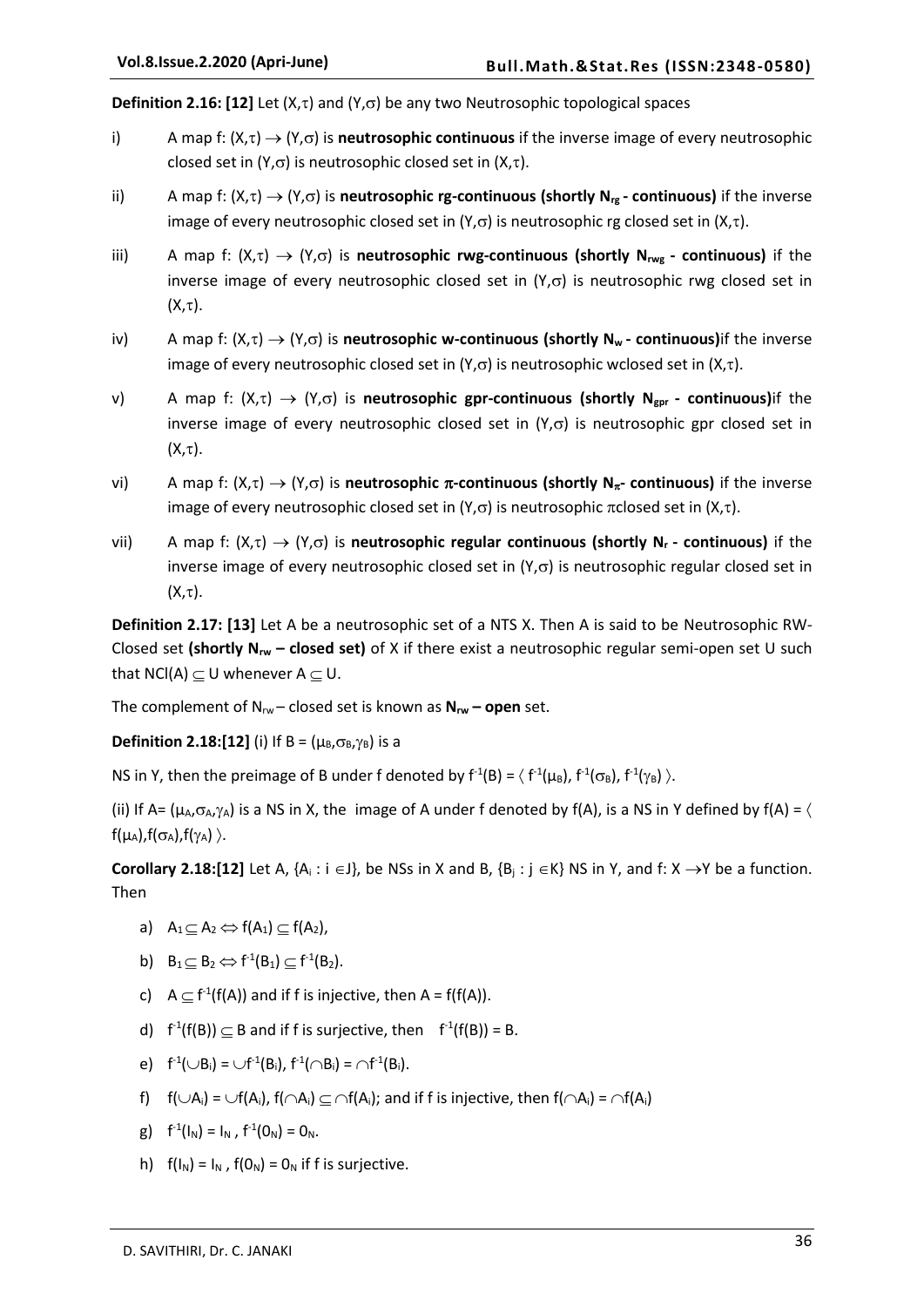**Definition 2.16: [12]** Let  $(X,\tau)$  and  $(Y,\sigma)$  be any two Neutrosophic topological spaces

- i) A map f:  $(X,\tau) \to (Y,\sigma)$  is **neutrosophic continuous** if the inverse image of every neutrosophic closed set in  $(Y,\sigma)$  is neutrosophic closed set in  $(X,\tau)$ .
- ii) A map f:  $(X,\tau) \to (Y,\sigma)$  is **neutrosophic rg-continuous (shortly N<sub>rg</sub> continuous)** if the inverse image of every neutrosophic closed set in  $(Y,\sigma)$  is neutrosophic rg closed set in  $(X,\tau)$ .
- iii) A map f:  $(X,\tau) \to (Y,\sigma)$  is **neutrosophic rwg-continuous (shortly N<sub>rwg</sub> continuous)** if the inverse image of every neutrosophic closed set in  $(Y,\sigma)$  is neutrosophic rwg closed set in  $(X,\tau).$
- iv) A map f:  $(X,\tau) \to (Y,\sigma)$  is **neutrosophic w-continuous (shortly N<sub>W</sub> continuous**) if the inverse image of every neutrosophic closed set in  $(Y,\sigma)$  is neutrosophic wclosed set in  $(X,\tau)$ .
- v) A map f:  $(X,\tau) \to (Y,\sigma)$  is **neutrosophic gpr-continuous (shortly N**<sub>gpr</sub> **continuous**)if the inverse image of every neutrosophic closed set in  $(Y,\sigma)$  is neutrosophic gpr closed set in  $(X,\tau).$
- vi) A map f:  $(X,\tau) \to (Y,\sigma)$  is **neutrosophic**  $\pi$ -continuous (shortly  $N_{\pi}$ -continuous) if the inverse image of every neutrosophic closed set in  $(Y,\sigma)$  is neutrosophic  $\pi$ closed set in  $(X,\tau)$ .
- vii) A map f:  $(X,\tau) \to (Y,\sigma)$  is **neutrosophic regular continuous (shortly N<sub>r</sub> continuous)** if the inverse image of every neutrosophic closed set in  $(Y,\sigma)$  is neutrosophic regular closed set in  $(X,\tau)$ .

**Definition 2.17: [13]** Let A be a neutrosophic set of a NTS X. Then A is said to be Neutrosophic RW-Closed set **(shortly Nrw – closed set)** of X if there exist a neutrosophic regular semi-open set U such that NCl(A)  $\subseteq$  U whenever A  $\subseteq$  U.

The complement of  $N_{rw}$  – closed set is known as  $N_{rw}$  – open set.

**Definition 2.18:[12]** (i) If B =  $(\mu_B, \sigma_B, \gamma_B)$  is a

NS in Y, then the preimage of B under f denoted by  $f^1(B) = \langle f^1(\mu_B), f^1(\sigma_B), f^1(\gamma_B) \rangle$ .

(ii) If A=  $(\mu_A, \sigma_A, \gamma_A)$  is a NS in X, the image of A under f denoted by f(A), is a NS in Y defined by f(A) =  $\langle$  $f(\mu_A), f(\sigma_A), f(\gamma_A) \rangle$ .

**Corollary 2.18:[12]** Let A,  $\{A_i : i \in J\}$ , be NSs in X and B,  $\{B_i : j \in K\}$  NS in Y, and f: X  $\rightarrow$ Y be a function. Then

- a)  $A_1 \subset A_2 \Leftrightarrow f(A_1) \subset f(A_2)$ ,
- b)  $B_1 \subseteq B_2 \Leftrightarrow f^{-1}(B_1) \subseteq f^{-1}(B_2)$ .
- c)  $A \subseteq f^1(f(A))$  and if f is injective, then  $A = f(f(A)).$
- d)  $f^1(f(B)) \subseteq B$  and if f is surjective, then  $f^1(f(B)) = B$ .
- e)  $f^{-1}(\cup B_i) = \cup f^{-1}(B_i)$ ,  $f^{-1}(\cap B_i) = \cap f^{-1}(B_i)$ .
- f)  $f(\bigcup A_i) = \bigcup f(A_i)$ ,  $f(\bigcap A_i) \subset \bigcap f(A_i)$ ; and if f is injective, then  $f(\bigcap A_i) = \bigcap f(A_i)$
- g)  $f^{-1}(I_N) = I_N$ ,  $f^{-1}(O_N) = O_N$ .
- h)  $f(I_N) = I_N$ .  $f(O_N) = O_N$  if f is surjective.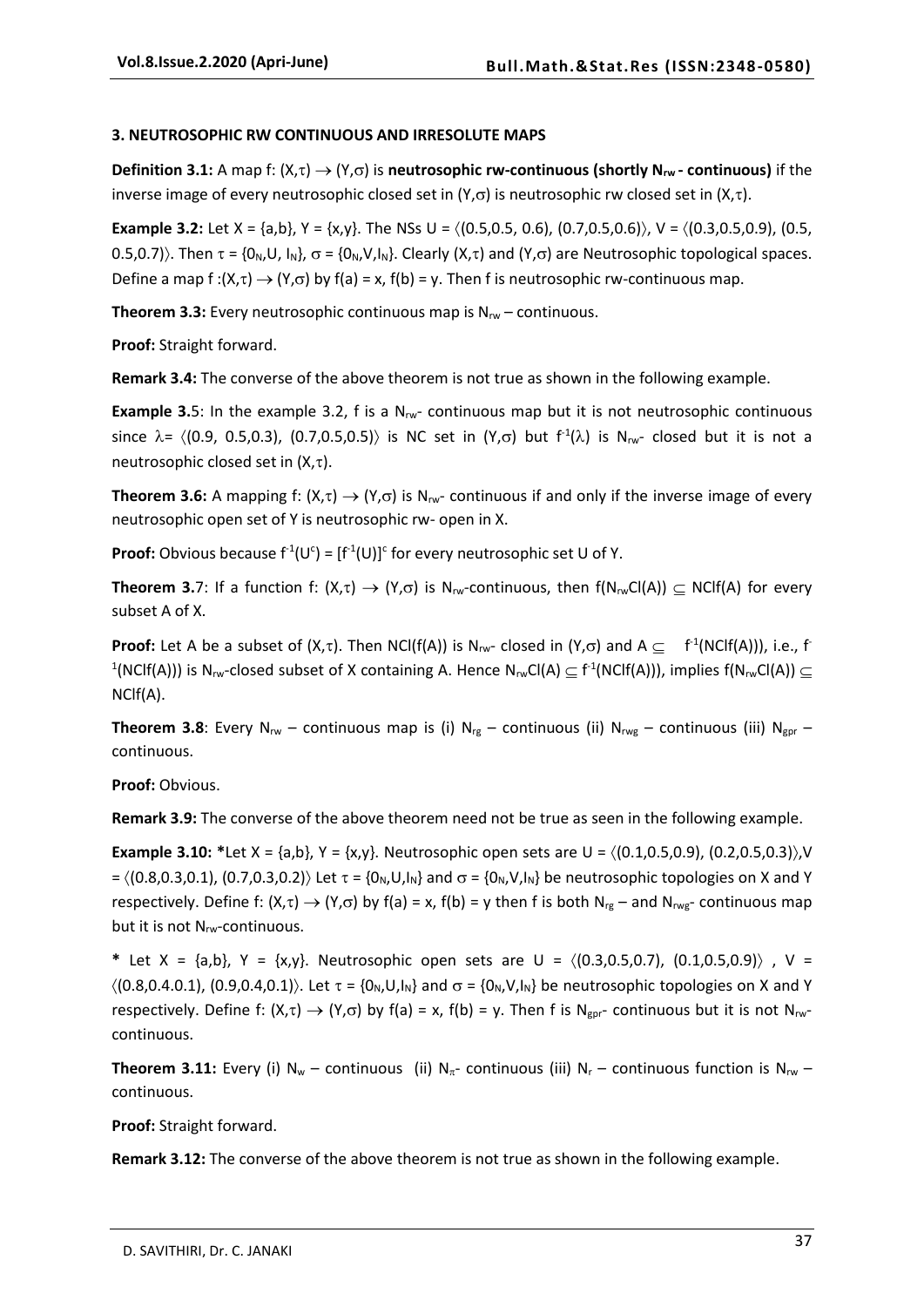#### **3. NEUTROSOPHIC RW CONTINUOUS AND IRRESOLUTE MAPS**

**Definition 3.1:** A map f:  $(X,\tau) \to (Y,\sigma)$  is **neutrosophic rw-continuous (shortly N<sub>rw</sub> - continuous)** if the inverse image of every neutrosophic closed set in (Y, $\sigma$ ) is neutrosophic rw closed set in (X, $\tau$ ).

**Example 3.2:** Let  $X = \{a,b\}$ ,  $Y = \{x,y\}$ . The NSs  $U = \{(0.5,0.5, 0.6), (0.7,0.5,0.6)\}$ ,  $V = \{(0.3,0.5,0.9), (0.5,0.9), (0.5,0.9)\}$ 0.5,0.7). Then  $\tau = \{0_N, U, I_N\}$ ,  $\sigma = \{0_N, V, I_N\}$ . Clearly  $(X, \tau)$  and  $(Y, \sigma)$  are Neutrosophic topological spaces. Define a map  $f:(X,\tau) \to (Y,\sigma)$  by  $f(a) = x$ ,  $f(b) = y$ . Then f is neutrosophic rw-continuous map.

**Theorem 3.3:** Every neutrosophic continuous map is N<sub>rw</sub> – continuous.

**Proof:** Straight forward.

**Remark 3.4:** The converse of the above theorem is not true as shown in the following example.

**Example 3.**5: In the example 3.2, f is a  $N_{rw}$  continuous map but it is not neutrosophic continuous since  $\lambda$  =  $\langle$ (0.9, 0.5,0.3), (0.7,0.5,0.5) $\rangle$  is NC set in  $(Y,\sigma)$  but  $f^1(\lambda)$  is N<sub>rw</sub>- closed but it is not a neutrosophic closed set in  $(X,\tau)$ .

**Theorem 3.6:** A mapping f:  $(X,\tau) \to (Y,\sigma)$  is N<sub>rw</sub>- continuous if and only if the inverse image of every neutrosophic open set of Y is neutrosophic rw- open in X.

**Proof:** Obvious because  $f^1(U^c) = [f^1(U)]^c$  for every neutrosophic set U of Y.

**Theorem 3.**7: If a function f:  $(X,\tau) \to (Y,\sigma)$  is N<sub>rw</sub>-continuous, then  $f(N_{rw}Cl(A)) \subset NCl(A)$  for every subset A of X.

**Proof:** Let A be a subset of  $(X,\tau)$ . Then NCl(f(A)) is N<sub>rw</sub>-closed in  $(Y,\sigma)$  and  $A \subseteq f^{-1}(NCIf(A))$ , i.e., f <sup>1</sup>(NClf(A))) is N<sub>rw</sub>-closed subset of X containing A. Hence N<sub>rw</sub>Cl(A)  $\subseteq$  f<sup>-1</sup>(NClf(A))), implies f(N<sub>rw</sub>Cl(A))  $\subseteq$ NClf(A).

**Theorem 3.8:** Every N<sub>rw</sub> – continuous map is (i) N<sub>rg</sub> – continuous (ii) N<sub>rwg</sub> – continuous (iii) N<sub>gpr</sub> – continuous.

**Proof:** Obvious.

**Remark 3.9:** The converse of the above theorem need not be true as seen in the following example.

**Example 3.10:**  $*$ Let  $X = \{a,b\}$ ,  $Y = \{x,y\}$ . Neutrosophic open sets are  $U = \{(0.1, 0.5, 0.9), (0.2, 0.5, 0.3)\}$ , V  $= \langle (0.8, 0.3, 0.1), (0.7, 0.3, 0.2) \rangle$  Let  $\tau = \{0_N, U, I_N\}$  and  $\sigma = \{0_N, V, I_N\}$  be neutrosophic topologies on X and Y respectively. Define f:  $(X,\tau) \to (Y,\sigma)$  by f(a) = x, f(b) = y then f is both N<sub>rg</sub> – and N<sub>rwg</sub>- continuous map but it is not N<sub>rw</sub>-continuous.

\* Let X = {a,b}, Y = {x,y}. Neutrosophic open sets are U =  $\langle (0.3,0.5,0.7), (0.1,0.5,0.9) \rangle$ , V =  $\langle (0.8,0.4.0.1), (0.9,0.4,0.1) \rangle$ . Let  $\tau = \{0_N, U, I_N\}$  and  $\sigma = \{0_N, V, I_N\}$  be neutrosophic topologies on X and Y respectively. Define f:  $(X,\tau) \to (Y,\sigma)$  by f(a) = x, f(b) = y. Then f is N<sub>gpr</sub>- continuous but it is not N<sub>rw</sub>continuous.

**Theorem 3.11:** Every (i)  $N_w$  – continuous (ii)  $N_{\pi}$ - continuous (iii)  $N_r$  – continuous function is  $N_w$  – continuous.

**Proof:** Straight forward.

**Remark 3.12:** The converse of the above theorem is not true as shown in the following example.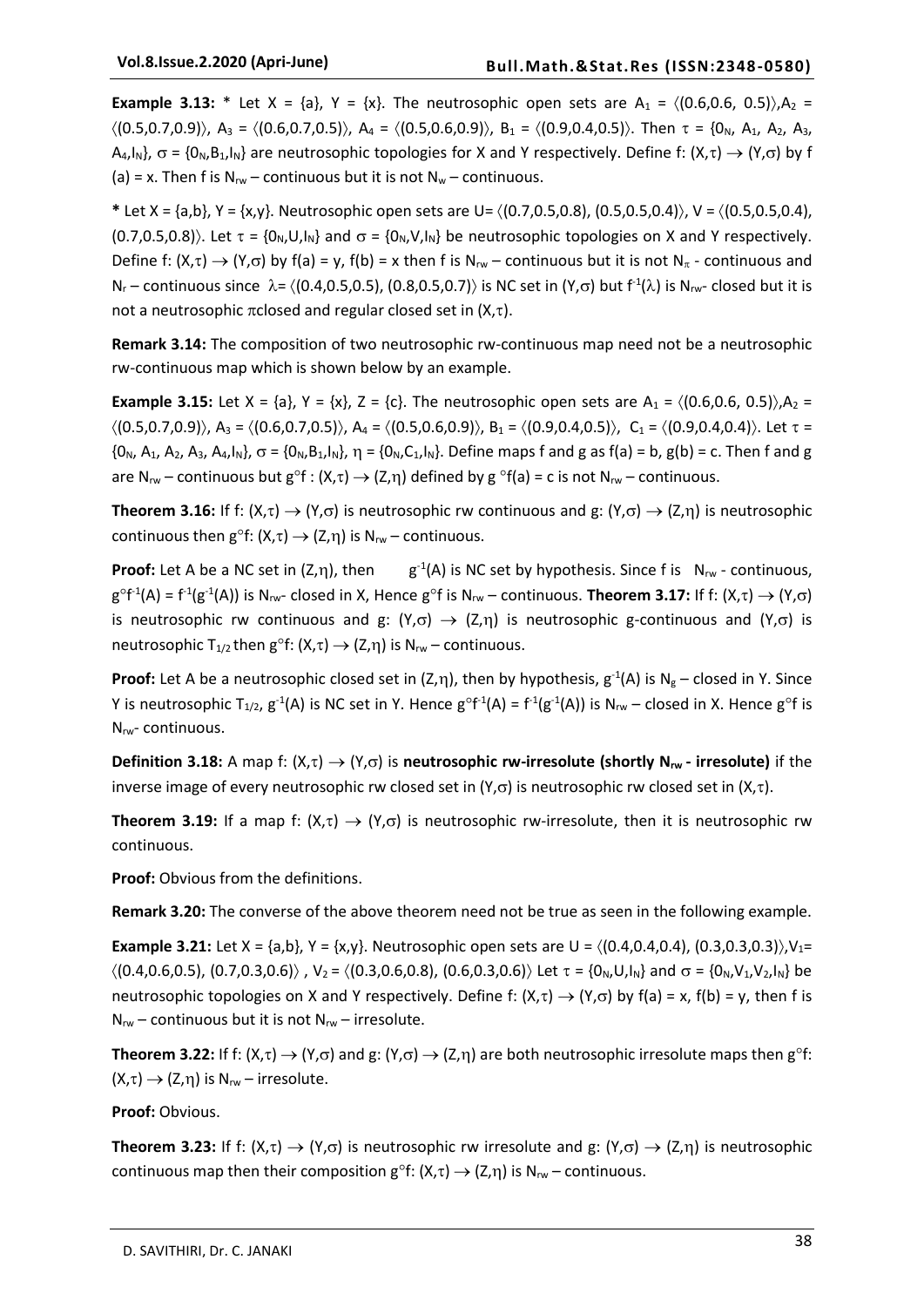**Example 3.13:** \* Let  $X = \{a\}$ ,  $Y = \{x\}$ . The neutrosophic open sets are  $A_1 = \{(0.6, 0.6, 0.5)\}$ ,  $A_2 =$  $\langle (0.5,0.7,0.9) \rangle$ , A<sub>3</sub> =  $\langle (0.6,0.7,0.5) \rangle$ , A<sub>4</sub> =  $\langle (0.5,0.6,0.9) \rangle$ , B<sub>1</sub> =  $\langle (0.9,0.4,0.5) \rangle$ . Then  $\tau = \{0_N, A_1, A_2, A_3, A_4, A_5, A_6, A_7, A_8, A_9, A_1, A_2, A_3, A_4, A_5, A_6, A_7, A_8, A_9, A_1, A_2, A_4, A_5, A_6, A_7, A_8, A_$  $A_4, I_N$ ,  $\sigma = \{O_N, B_1, I_N\}$  are neutrosophic topologies for X and Y respectively. Define f:  $(X, \tau) \to (Y, \sigma)$  by f (a) = x. Then f is  $N_{rw}$  – continuous but it is not  $N_w$  – continuous.

\* Let X = {a,b}, Y = {x,y}. Neutrosophic open sets are U=  $\langle (0.7,0.5,0.8), (0.5,0.5,0.4) \rangle$ , V =  $\langle (0.5,0.5,0.4),$  $(0.7,0.5,0.8)$ . Let  $\tau = \{0_N, U, I_N\}$  and  $\sigma = \{0_N, V, I_N\}$  be neutrosophic topologies on X and Y respectively. Define f:  $(X,\tau) \to (Y,\sigma)$  by f(a) = y, f(b) = x then f is N<sub>rw</sub> – continuous but it is not N<sub> $\pi$ </sub> - continuous and  $N_r$  – continuous since  $\lambda = \langle (0.4, 0.5, 0.5), (0.8, 0.5, 0.7) \rangle$  is NC set in  $(Y, \sigma)$  but  $f^{-1}(\lambda)$  is  $N_{rw}$ - closed but it is not a neutrosophic  $\pi$ closed and regular closed set in  $(X,\tau)$ .

**Remark 3.14:** The composition of two neutrosophic rw-continuous map need not be a neutrosophic rw-continuous map which is shown below by an example.

**Example 3.15:** Let  $X = \{a\}$ ,  $Y = \{x\}$ ,  $Z = \{c\}$ . The neutrosophic open sets are  $A_1 = \{(0.6, 0.6, 0.5)\}$ ,  $A_2 =$  $\langle (0.5,0.7,0.9) \rangle$ , A<sub>3</sub> =  $\langle (0.6,0.7,0.5) \rangle$ , A<sub>4</sub> =  $\langle (0.5,0.6,0.9) \rangle$ , B<sub>1</sub> =  $\langle (0.9,0.4,0.5) \rangle$ , C<sub>1</sub> =  $\langle (0.9,0.4,0.4) \rangle$ . Let  $\tau$  =  $\{0_N, A_1, A_2, A_3, A_4, I_N\}$ ,  $\sigma = \{0_N, B_1, I_N\}$ ,  $\eta = \{0_N, C_1, I_N\}$ . Define maps f and g as  $f(a) = b$ ,  $g(b) = c$ . Then f and g are N<sub>rw</sub> – continuous but  $g^{\circ}f : (X,\tau) \to (Z,\eta)$  defined by  $g^{\circ}f(a) = c$  is not N<sub>rw</sub> – continuous.

**Theorem 3.16:** If f:  $(X,\tau) \to (Y,\sigma)$  is neutrosophic rw continuous and g:  $(Y,\sigma) \to (Z,\eta)$  is neutrosophic continuous then  $g^{\circ}f: (X,\tau) \rightarrow (Z,\eta)$  is  $N_{rw}$  – continuous.

**Proof:** Let A be a NC set in  $(Z,\eta)$ , then  $g^{-1}(A)$  is NC set by hypothesis. Since f is  $N_{rw}$  - continuous,  $g^{\circ}f^{1}(A) = f^{1}(g^{1}(A))$  is N<sub>rw</sub>- closed in X, Hence  $g^{\circ}f$  is N<sub>rw</sub> – continuous. **Theorem 3.17:** If f:  $(X,\tau) \to (Y,\sigma)$ is neutrosophic rw continuous and g:  $(Y,\sigma) \rightarrow (Z,\eta)$  is neutrosophic g-continuous and  $(Y,\sigma)$  is neutrosophic T<sub>1/2</sub> then g<sup>o</sup>f:  $(X,\tau) \rightarrow (Z,\eta)$  is N<sub>rw</sub> – continuous.

**Proof:** Let A be a neutrosophic closed set in (Z, $\eta$ ), then by hypothesis,  $g^{-1}(A)$  is  $N_g$  – closed in Y. Since Y is neutrosophic T<sub>1/2</sub>,  $g^{-1}(A)$  is NC set in Y. Hence  $g^{\circ}f^{-1}(A) = f^{-1}(g^{-1}(A))$  is N<sub>rw</sub> – closed in X. Hence  $g^{\circ}f$  is Nrw- continuous.

**Definition 3.18:** A map f:  $(X,\tau) \to (Y,\sigma)$  is **neutrosophic rw-irresolute (shortly N<sub>rw</sub>** - **irresolute**) if the inverse image of every neutrosophic rw closed set in (Y, $\sigma$ ) is neutrosophic rw closed set in (X, $\tau$ ).

**Theorem 3.19:** If a map f:  $(X,\tau) \to (Y,\sigma)$  is neutrosophic rw-irresolute, then it is neutrosophic rw continuous.

**Proof:** Obvious from the definitions.

**Remark 3.20:** The converse of the above theorem need not be true as seen in the following example.

**Example 3.21:** Let X = {a,b}, Y = {x,y}. Neutrosophic open sets are U =  $\langle (0.4, 0.4, 0.4), (0.3, 0.3, 0.3), V_1 =$  $\langle (0.4,0.6,0.5), (0.7,0.3,0.6) \rangle$ ,  $V_2 = \langle (0.3,0.6,0.8), (0.6,0.3,0.6) \rangle$  Let  $\tau = \{0_N, U_1, V_2, V_3, V_4\}$  be neutrosophic topologies on X and Y respectively. Define f:  $(X,\tau) \rightarrow (Y,\sigma)$  by f(a) = x, f(b) = y, then f is  $N_{rw}$  – continuous but it is not  $N_{rw}$  – irresolute.

**Theorem 3.22:** If f:  $(X,\tau) \to (Y,\sigma)$  and g:  $(Y,\sigma) \to (Z,\eta)$  are both neutrosophic irresolute maps then g<sup>o</sup>f:  $(X,\tau) \rightarrow (Z,\eta)$  is N<sub>rw</sub> – irresolute.

**Proof:** Obvious.

**Theorem 3.23:** If f:  $(X,\tau) \to (Y,\sigma)$  is neutrosophic rw irresolute and g:  $(Y,\sigma) \to (Z,\eta)$  is neutrosophic continuous map then their composition  $g^{\circ}f: (X,\tau) \to (Z,\eta)$  is N<sub>rw</sub> – continuous.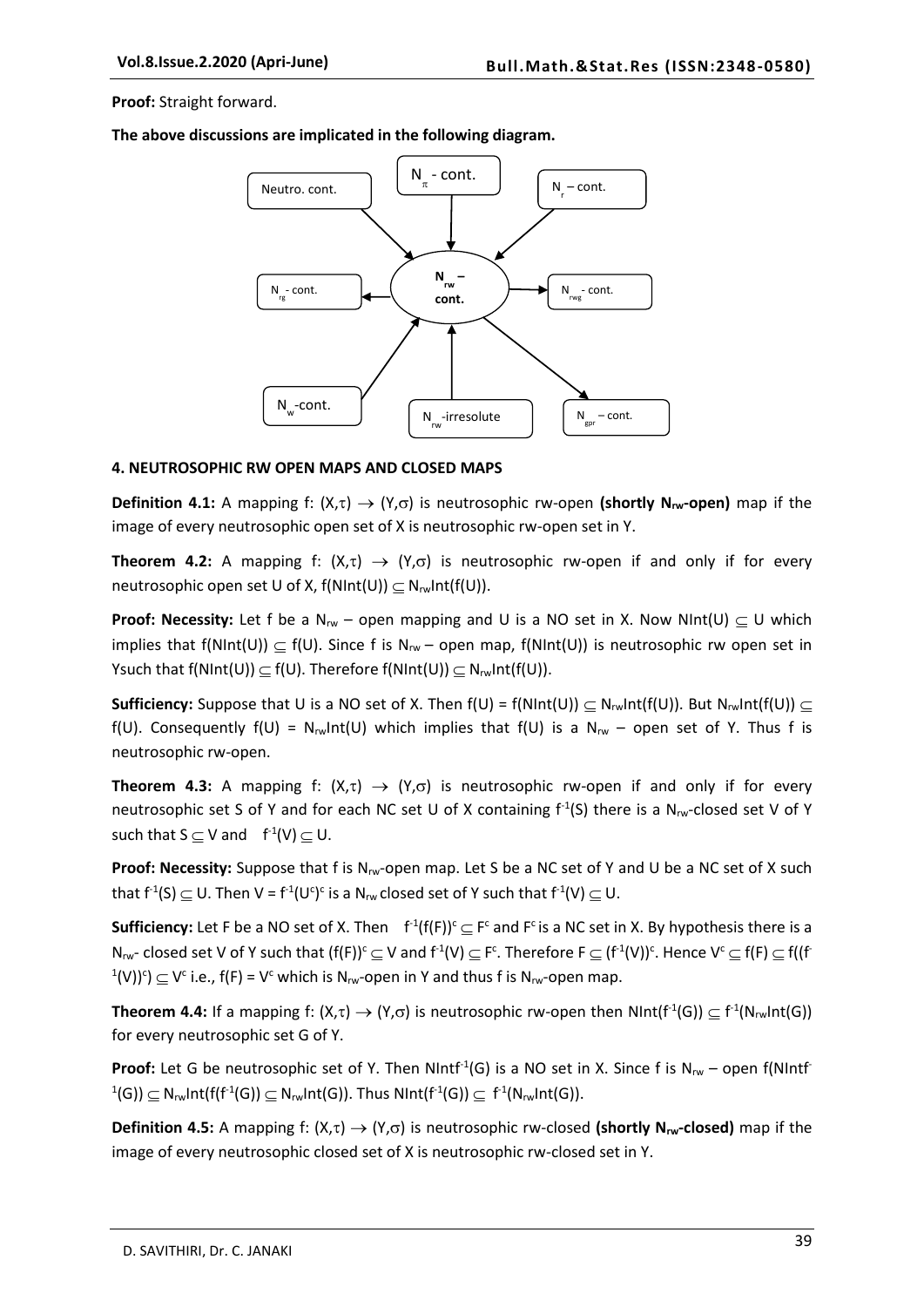**Proof:** Straight forward.

**The above discussions are implicated in the following diagram.**



#### **4. NEUTROSOPHIC RW OPEN MAPS AND CLOSED MAPS**

**Definition 4.1:** A mapping f:  $(X,\tau) \to (Y,\sigma)$  is neutrosophic rw-open (shortly N<sub>rw</sub>-open) map if the image of every neutrosophic open set of X is neutrosophic rw-open set in Y.

**Theorem 4.2:** A mapping f:  $(X,\tau) \to (Y,\sigma)$  is neutrosophic rw-open if and only if for every neutrosophic open set U of X,  $f(NInt(U)) \subseteq N_{rw}Int(f(U)).$ 

**Proof: Necessity:** Let f be a  $N_w$  – open mapping and U is a NO set in X. Now NInt(U)  $\subset U$  which implies that f(NInt(U))  $\subseteq$  f(U). Since f is N<sub>rw</sub> – open map, f(NInt(U)) is neutrosophic rw open set in Ysuch that  $f(NInt(U)) \subseteq f(U)$ . Therefore  $f(NInt(U)) \subseteq N_{rw}Int(f(U))$ .

**Sufficiency:** Suppose that U is a NO set of X. Then  $f(U) = f(NInt(U)) \subseteq N_{rw}Int(f(U))$ . But  $N_{rw}Int(f(U)) \subseteq$ f(U). Consequently f(U) =  $N_{rw}$ Int(U) which implies that f(U) is a  $N_{rw}$  – open set of Y. Thus f is neutrosophic rw-open.

**Theorem 4.3:** A mapping f:  $(X,\tau) \to (Y,\sigma)$  is neutrosophic rw-open if and only if for every neutrosophic set S of Y and for each NC set U of X containing  $f^{-1}(S)$  there is a N<sub>rw</sub>-closed set V of Y such that  $S \subseteq V$  and  $f^{-1}(V) \subseteq U$ .

**Proof: Necessity:** Suppose that f is Nrw-open map. Let S be a NC set of Y and U be a NC set of X such that f<sup>-1</sup>(S)  $\subseteq$  U. Then V = f<sup>-1</sup>(U<sup>c</sup>)<sup>c</sup> is a N<sub>rw</sub> closed set of Y such that f<sup>-1</sup>(V)  $\subseteq$  U.

**Sufficiency:** Let F be a NO set of X. Then  $f^1(f(F))^c \subseteq F^c$  and  $F^c$  is a NC set in X. By hypothesis there is a  $N_{rw}$ - closed set V of Y such that  $(f(F))^c \subseteq V$  and  $f^1(V) \subseteq F^c$ . Therefore  $F \subseteq (f^1(V))^c$ . Hence  $V^c \subseteq f(F) \subseteq f((f^1(V))^c)$  $(1(V))^c$ )  $\subseteq$  V<sup>c</sup> i.e., f(F) = V<sup>c</sup> which is N<sub>rw</sub>-open in Y and thus f is N<sub>rw</sub>-open map.

**Theorem 4.4:** If a mapping f:  $(X,\tau) \to (Y,\sigma)$  is neutrosophic rw-open then NInt(f<sup>-1</sup>(G))  $\subseteq f^{\text{-}1}(N_{rw}Int(G))$ for every neutrosophic set G of Y.

**Proof:** Let G be neutrosophic set of Y. Then NIntf<sup>-1</sup>(G) is a NO set in X. Since f is  $N_{rw}$  – open f(NIntf  $\mathsf{P}^1(\mathsf{G})\rangle \subseteq \mathsf{N}_{\mathsf{rw}}$ Int $(\mathsf{f}^1(\mathsf{G})) \subseteq \mathsf{N}_{\mathsf{rw}}$ Int $(\mathsf{G}))$ . Thus  $\mathsf{NInt}(\mathsf{f}^1(\mathsf{G})) \subseteq \mathsf{f}^1(\mathsf{N}_{\mathsf{rw}}\mathsf{Int}(\mathsf{G})).$ 

**Definition 4.5:** A mapping f:  $(X,\tau) \to (Y,\sigma)$  is neutrosophic rw-closed (shortly N<sub>rw</sub>-closed) map if the image of every neutrosophic closed set of X is neutrosophic rw-closed set in Y.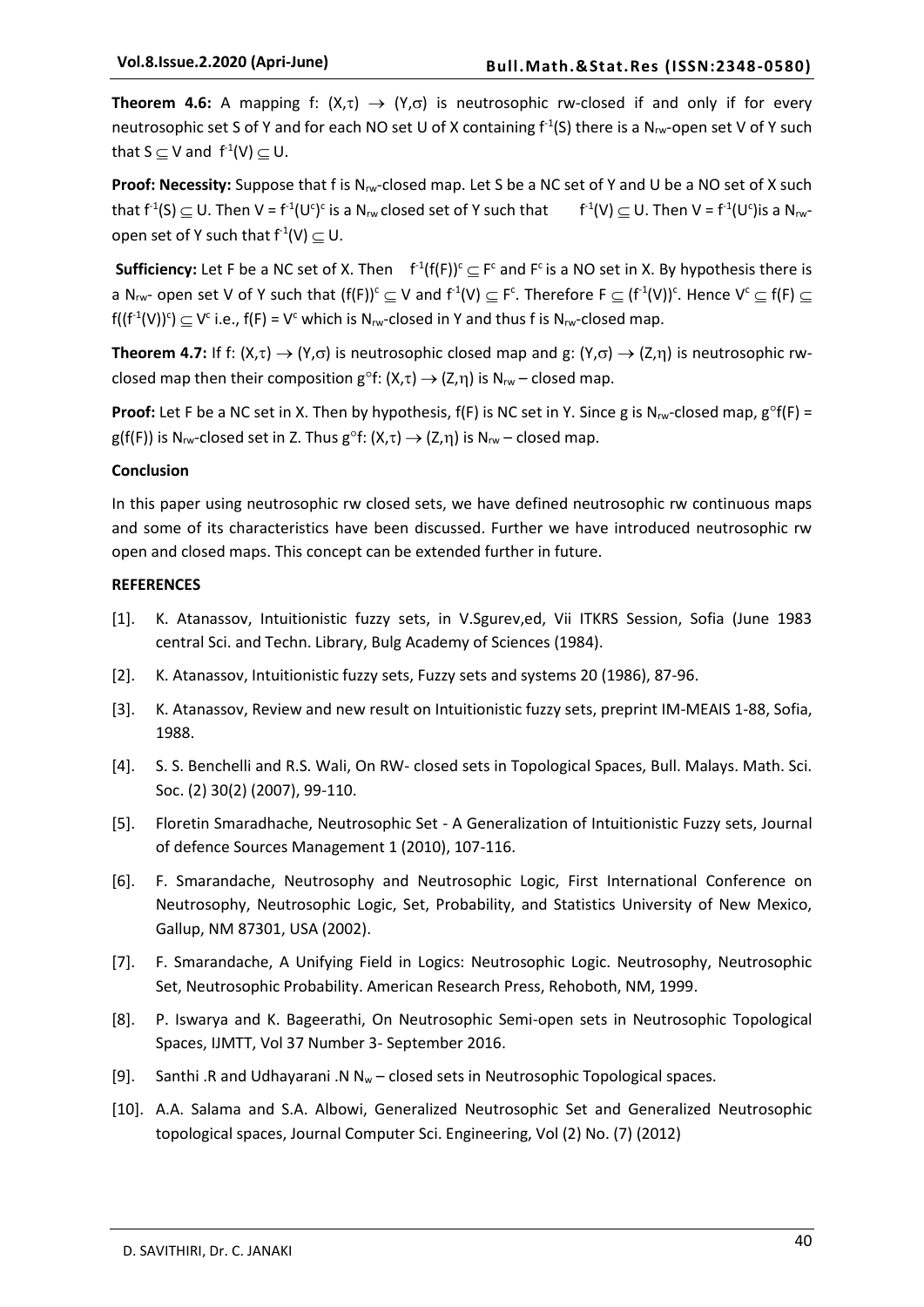**Theorem 4.6:** A mapping f:  $(X,\tau) \rightarrow (Y,\sigma)$  is neutrosophic rw-closed if and only if for every neutrosophic set S of Y and for each NO set U of X containing  $f^{-1}(S)$  there is a N<sub>rw</sub>-open set V of Y such that  $S \subseteq V$  and  $f^{-1}(V) \subseteq U$ .

**Proof: Necessity:** Suppose that f is N<sub>rw</sub>-closed map. Let S be a NC set of Y and U be a NO set of X such that  $f^1(S) \subseteq U$ . Then V =  $f^1(U^c)^c$  is a N<sub>rw</sub> closed set of Y such that  $f^1(V) \subseteq U$ . Then V =  $f^1(U^c)$ is a N<sub>rw</sub>open set of Y such that  $f^{-1}(V) \subseteq U$ .

**Sufficiency:** Let F be a NC set of X. Then  $f^1(f(F))^c \subseteq F^c$  and  $F^c$  is a NO set in X. By hypothesis there is a N<sub>rw</sub>- open set V of Y such that  $(f(F))^c\subseteq V$  and  $f^1(V)\subseteq F^c$ . Therefore  $F\subseteq (f^1(V))^c$ . Hence  $V^c\subseteq f(F)\subseteq$  $f((f^1(V))^c) \subseteq V^c$  i.e.,  $f(F) = V^c$  which is N<sub>rw</sub>-closed in Y and thus f is N<sub>rw</sub>-closed map.

**Theorem 4.7:** If f:  $(X,\tau) \to (Y,\sigma)$  is neutrosophic closed map and g:  $(Y,\sigma) \to (Z,\eta)$  is neutrosophic rwclosed map then their composition  $g^{\circ}f: (X,\tau) \rightarrow (Z,\eta)$  is  $N_{rw}$  – closed map.

**Proof:** Let F be a NC set in X. Then by hypothesis,  $f(F)$  is NC set in Y. Since g is N<sub>rw</sub>-closed map,  $g^{\circ}f(F)$  = g(f(F)) is N<sub>rw</sub>-closed set in Z. Thus g<sup>o</sup>f:  $(X,\tau) \rightarrow (Z,\eta)$  is N<sub>rw</sub> – closed map.

#### **Conclusion**

In this paper using neutrosophic rw closed sets, we have defined neutrosophic rw continuous maps and some of its characteristics have been discussed. Further we have introduced neutrosophic rw open and closed maps. This concept can be extended further in future.

## **REFERENCES**

- [1]. K. Atanassov, Intuitionistic fuzzy sets, in V.Sgurev,ed, Vii ITKRS Session, Sofia (June 1983 central Sci. and Techn. Library, Bulg Academy of Sciences (1984).
- [2]. K. Atanassov, Intuitionistic fuzzy sets, Fuzzy sets and systems 20 (1986), 87-96.
- [3]. K. Atanassov, Review and new result on Intuitionistic fuzzy sets, preprint IM-MEAIS 1-88, Sofia, 1988.
- [4]. S. S. Benchelli and R.S. Wali, On RW- closed sets in Topological Spaces, Bull. Malays. Math. Sci. Soc. (2) 30(2) (2007), 99-110.
- [5]. Floretin Smaradhache, Neutrosophic Set A Generalization of Intuitionistic Fuzzy sets, Journal of defence Sources Management 1 (2010), 107-116.
- [6]. F. Smarandache, Neutrosophy and Neutrosophic Logic, First International Conference on Neutrosophy, Neutrosophic Logic, Set, Probability, and Statistics University of New Mexico, Gallup, NM 87301, USA (2002).
- [7]. F. Smarandache, A Unifying Field in Logics: Neutrosophic Logic. Neutrosophy, Neutrosophic Set, Neutrosophic Probability. American Research Press, Rehoboth, NM, 1999.
- [8]. P. Iswarya and K. Bageerathi, On Neutrosophic Semi-open sets in Neutrosophic Topological Spaces, IJMTT, Vol 37 Number 3- September 2016.
- [9]. Santhi .R and Udhayarani .N  $N_w$  closed sets in Neutrosophic Topological spaces.
- [10]. A.A. Salama and S.A. Albowi, Generalized Neutrosophic Set and Generalized Neutrosophic topological spaces, Journal Computer Sci. Engineering, Vol (2) No. (7) (2012)